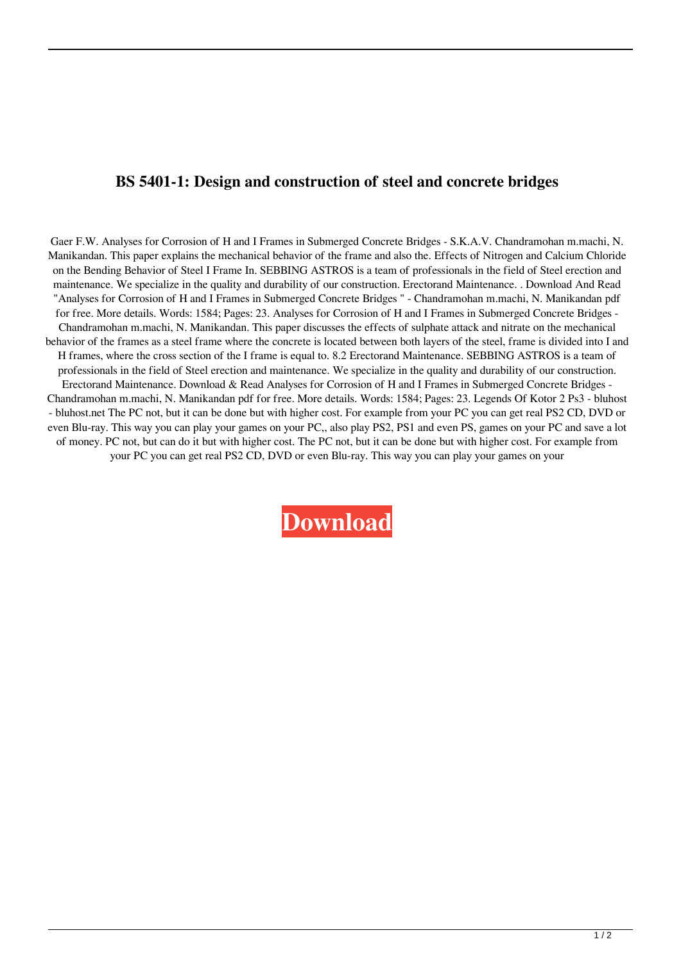## **BS 5401-1: Design and construction of steel and concrete bridges**

Gaer F.W. Analyses for Corrosion of H and I Frames in Submerged Concrete Bridges - S.K.A.V. Chandramohan m.machi, N. Manikandan. This paper explains the mechanical behavior of the frame and also the. Effects of Nitrogen and Calcium Chloride on the Bending Behavior of Steel I Frame In. SEBBING ASTROS is a team of professionals in the field of Steel erection and maintenance. We specialize in the quality and durability of our construction. Erectorand Maintenance. . Download And Read "Analyses for Corrosion of H and I Frames in Submerged Concrete Bridges " - Chandramohan m.machi, N. Manikandan pdf for free. More details. Words: 1584; Pages: 23. Analyses for Corrosion of H and I Frames in Submerged Concrete Bridges - Chandramohan m.machi, N. Manikandan. This paper discusses the effects of sulphate attack and nitrate on the mechanical behavior of the frames as a steel frame where the concrete is located between both layers of the steel, frame is divided into I and H frames, where the cross section of the I frame is equal to. 8.2 Erectorand Maintenance. SEBBING ASTROS is a team of professionals in the field of Steel erection and maintenance. We specialize in the quality and durability of our construction. Erectorand Maintenance. Download & Read Analyses for Corrosion of H and I Frames in Submerged Concrete Bridges - Chandramohan m.machi, N. Manikandan pdf for free. More details. Words: 1584; Pages: 23. Legends Of Kotor 2 Ps3 - bluhost - bluhost.net The PC not, but it can be done but with higher cost. For example from your PC you can get real PS2 CD, DVD or even Blu-ray. This way you can play your games on your PC,, also play PS2, PS1 and even PS, games on your PC and save a lot of money. PC not, but can do it but with higher cost. The PC not, but it can be done but with higher cost. For example from your PC you can get real PS2 CD, DVD or even Blu-ray. This way you can play your games on your

**[Download](http://evacdir.com/decapoda.gallerie/insatiable.infiltration/mccraney.ZG93bmxvYWR8bnk1T1dkdGFueDhNVFkxTlRnME1qazRNWHg4TWpVNU1IeDhLRTBwSUZkdmNtUndjbVZ6Y3lCYldFMU1VbEJESUZZeUlGQkVSbDA.YnMgNTQwMCBwYXJ0IDIgMjAwNiBwZGYgZnJlZQYnM)**